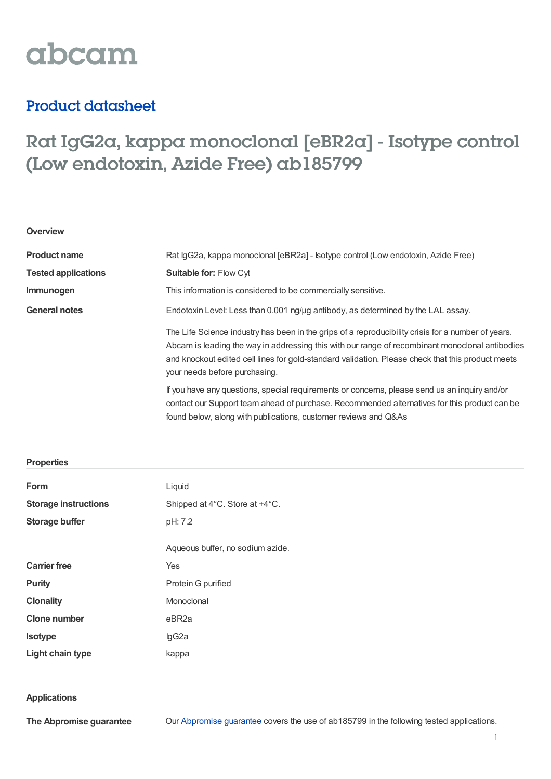# abcam

### Product datasheet

## Rat IgG2a, kappa monoclonal [eBR2a] - Isotype control (Low endotoxin, Azide Free) ab185799

| Overview                   |                                                                                                                                                                                                                                                                                                                                             |  |  |
|----------------------------|---------------------------------------------------------------------------------------------------------------------------------------------------------------------------------------------------------------------------------------------------------------------------------------------------------------------------------------------|--|--|
| <b>Product name</b>        | Rat IgG2a, kappa monoclonal [eBR2a] - Isotype control (Low endotoxin, Azide Free)<br>Suitable for: Flow Cyt                                                                                                                                                                                                                                 |  |  |
| <b>Tested applications</b> |                                                                                                                                                                                                                                                                                                                                             |  |  |
| Immunogen                  | This information is considered to be commercially sensitive.                                                                                                                                                                                                                                                                                |  |  |
| <b>General notes</b>       | Endotoxin Level: Less than 0.001 ng/µg antibody, as determined by the LAL assay.                                                                                                                                                                                                                                                            |  |  |
|                            | The Life Science industry has been in the grips of a reproducibility crisis for a number of years.<br>Abcam is leading the way in addressing this with our range of recombinant monoclonal antibodies<br>and knockout edited cell lines for gold-standard validation. Please check that this product meets<br>your needs before purchasing. |  |  |
|                            | If you have any questions, special requirements or concerns, please send us an inquiry and/or<br>contact our Support team ahead of purchase. Recommended alternatives for this product can be                                                                                                                                               |  |  |

found below, along with publications, customer reviews and Q&As

| Form                        | Liquid                           |  |  |
|-----------------------------|----------------------------------|--|--|
| <b>Storage instructions</b> | Shipped at 4°C. Store at +4°C.   |  |  |
| <b>Storage buffer</b>       | pH: 7.2                          |  |  |
|                             |                                  |  |  |
|                             | Aqueous buffer, no sodium azide. |  |  |
| <b>Carrier free</b>         | Yes                              |  |  |
| <b>Purity</b>               | Protein G purified               |  |  |
| <b>Clonality</b>            | Monoclonal                       |  |  |
| <b>Clone number</b>         | eBR2a                            |  |  |
| <b>Isotype</b>              | lgG2a                            |  |  |
| Light chain type            | kappa                            |  |  |

#### **Applications**

**Properties**

**The Abpromise guarantee**

Our [Abpromise](https://www.abcam.com/abpromise) guarantee covers the use of ab185799 in the following tested applications.